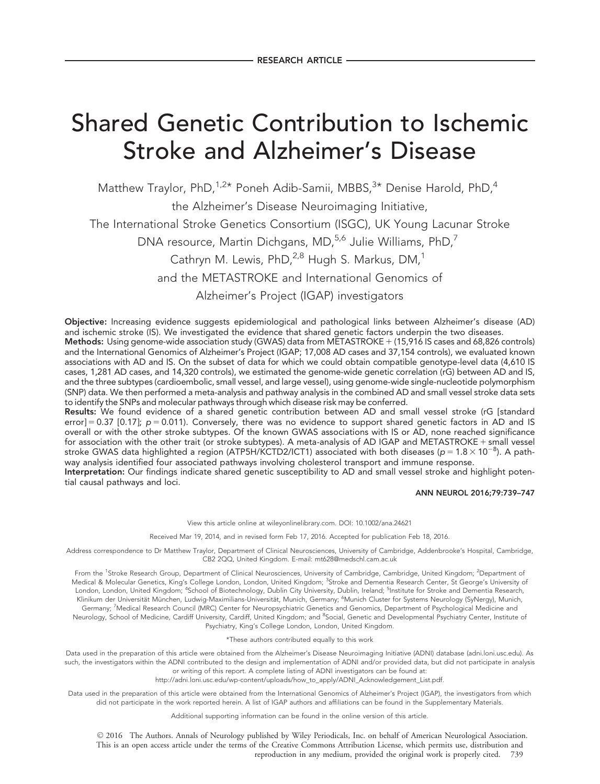# Shared Genetic Contribution to Ischemic Stroke and Alzheimer's Disease

Matthew Traylor, PhD,<sup>1,2\*</sup> Poneh Adib-Samii, MBBS, $3*$  Denise Harold, PhD,<sup>4</sup>

the Alzheimer's Disease Neuroimaging Initiative,

The International Stroke Genetics Consortium (ISGC), UK Young Lacunar Stroke

DNA resource, Martin Dichgans, MD,<sup>5,6</sup> Julie Williams, PhD,<sup>7</sup>

Cathryn M. Lewis, PhD, <sup>2,8</sup> Hugh S. Markus, DM,<sup>1</sup>

and the METASTROKE and International Genomics of

Alzheimer's Project (IGAP) investigators

Objective: Increasing evidence suggests epidemiological and pathological links between Alzheimer's disease (AD) and ischemic stroke (IS). We investigated the evidence that shared genetic factors underpin the two diseases.

Methods: Using genome-wide association study (GWAS) data from METASTROKE  $+$  (15,916 IS cases and 68,826 controls) and the International Genomics of Alzheimer's Project (IGAP; 17,008 AD cases and 37,154 controls), we evaluated known associations with AD and IS. On the subset of data for which we could obtain compatible genotype-level data (4,610 IS cases, 1,281 AD cases, and 14,320 controls), we estimated the genome-wide genetic correlation (rG) between AD and IS, and the three subtypes (cardioembolic, small vessel, and large vessel), using genome-wide single-nucleotide polymorphism (SNP) data. We then performed a meta-analysis and pathway analysis in the combined AD and small vessel stroke data sets to identify the SNPs and molecular pathways through which disease risk may be conferred.

Results: We found evidence of a shared genetic contribution between AD and small vessel stroke (rG [standard error] = 0.37 [0.17];  $p = 0.011$ ). Conversely, there was no evidence to support shared genetic factors in AD and IS overall or with the other stroke subtypes. Of the known GWAS associations with IS or AD, none reached significance for association with the other trait (or stroke subtypes). A meta-analysis of AD IGAP and METASTROKE + small vessel stroke GWAS data highlighted a region (ATP5H/KCTD2/ICT1) associated with both diseases (p = 1.8  $\times$  10 $^{-8}$ ). A pathway analysis identified four associated pathways involving cholesterol transport and immune response.

Interpretation: Our findings indicate shared genetic susceptibility to AD and small vessel stroke and highlight potential causal pathways and loci.

ANN NEUROL 2016;79:739–747

View this article online at wileyonlinelibrary.com. DOI: 10.1002/ana.24621

Received Mar 19, 2014, and in revised form Feb 17, 2016. Accepted for publication Feb 18, 2016.

Address correspondence to Dr Matthew Traylor, Department of Clinical Neurosciences, University of Cambridge, Addenbrooke's Hospital, Cambridge, CB2 2QQ, United Kingdom. E-mail: mt628@medschl.cam.ac.uk

From the <sup>1</sup>Stroke Research Group, Department of Clinical Neurosciences, University of Cambridge, Cambridge, United Kingdom; <sup>2</sup>Department of Medical & Molecular Genetics, King's College London, London, United Kingdom; <sup>3</sup>Stroke and Dementia Research Center, St George's University of London, London, United Kingdom; <sup>4</sup>School of Biotechnology, Dublin City University, Dublin, Ireland; <sup>5</sup>Institute for Stroke and Dementia Research, Klinikum der Universität München, Ludwig-Maximilians-Universität, Munich, Germany; <sup>6</sup>Munich Cluster for Systems Neurology (SyNergy), Munich, Germany; <sup>7</sup>Medical Research Council (MRC) Center for Neuropsychiatric Genetics and Genomics, Department of Psychological Medicine and Neurology, School of Medicine, Cardiff University, Cardiff, United Kingdom; and <sup>8</sup>Social, Genetic and Developmental Psychiatry Center, Institute of Psychiatry, King's College London, London, United Kingdom.

\*These authors contributed equally to this work

Data used in the preparation of this article were obtained from the Alzheimer's Disease Neuroimaging Initiative (ADNI) database [\(adni.loni.usc.edu\)](http://adni.loni.usc.edu). As such, the investigators within the ADNI contributed to the design and implementation of ADNI and/or provided data, but did not participate in analysis or writing of this report. A complete listing of ADNI investigators can be found at:

[http://adni.loni.usc.edu/wp-content/uploads/how\\_to\\_apply/ADNI\\_Acknowledgement\\_List.pdf.](http://adni.loni.usc.edu/wp-content/uploads/how_to_apply/ADNI_Acknowledgement_List.pdf)

Data used in the preparation of this article were obtained from the International Genomics of Alzheimer's Project (IGAP), the investigators from which did not participate in the work reported herein. A list of IGAP authors and affiliations can be found in the Supplementary Materials.

Additional supporting information can be found in the online version of this article.

 $\odot$  2016 The Authors. Annals of Neurology published by Wiley Periodicals, Inc. on behalf of American Neurological Association. This is an open access article under the terms of the Creative Commons Attribution License, which permits use, distribution and reproduction in any medium, provided the original work is properly cited. 739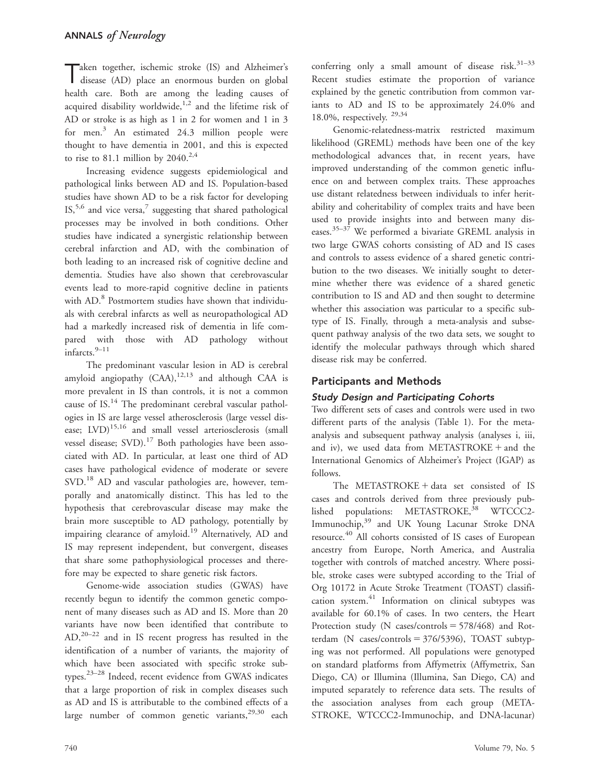Taken together, ischemic stroke (IS) and Alzheimer's disease (AD) place an enormous burden on global health care. Both are among the leading causes of acquired disability worldwide, $1,2$  and the lifetime risk of AD or stroke is as high as 1 in 2 for women and 1 in 3 for men.<sup>3</sup> An estimated 24.3 million people were thought to have dementia in 2001, and this is expected to rise to 81.1 million by  $2040^{2,4}$ 

Increasing evidence suggests epidemiological and pathological links between AD and IS. Population-based studies have shown AD to be a risk factor for developing  $IS<sub>1</sub>$ ,<sup>5,6</sup> and vice versa,<sup>7</sup> suggesting that shared pathological processes may be involved in both conditions. Other studies have indicated a synergistic relationship between cerebral infarction and AD, with the combination of both leading to an increased risk of cognitive decline and dementia. Studies have also shown that cerebrovascular events lead to more-rapid cognitive decline in patients with AD.<sup>8</sup> Postmortem studies have shown that individuals with cerebral infarcts as well as neuropathological AD had a markedly increased risk of dementia in life compared with those with AD pathology without infarcts.<sup>9–11</sup>

The predominant vascular lesion in AD is cerebral amyloid angiopathy  $(CAA)$ ,<sup>12,13</sup> and although CAA is more prevalent in IS than controls, it is not a common cause of IS.<sup>14</sup> The predominant cerebral vascular pathologies in IS are large vessel atherosclerosis (large vessel disease; LVD)<sup>15,16</sup> and small vessel arteriosclerosis (small vessel disease; SVD).<sup>17</sup> Both pathologies have been associated with AD. In particular, at least one third of AD cases have pathological evidence of moderate or severe SVD.<sup>18</sup> AD and vascular pathologies are, however, temporally and anatomically distinct. This has led to the hypothesis that cerebrovascular disease may make the brain more susceptible to AD pathology, potentially by impairing clearance of amyloid.<sup>19</sup> Alternatively, AD and IS may represent independent, but convergent, diseases that share some pathophysiological processes and therefore may be expected to share genetic risk factors.

Genome-wide association studies (GWAS) have recently begun to identify the common genetic component of many diseases such as AD and IS. More than 20 variants have now been identified that contribute to AD,20–22 and in IS recent progress has resulted in the identification of a number of variants, the majority of which have been associated with specific stroke subtypes.23–28 Indeed, recent evidence from GWAS indicates that a large proportion of risk in complex diseases such as AD and IS is attributable to the combined effects of a large number of common genetic variants,  $29,30$  each

conferring only a small amount of disease risk. $31-33$ Recent studies estimate the proportion of variance explained by the genetic contribution from common variants to AD and IS to be approximately 24.0% and 18.0%, respectively. 29,34

Genomic-relatedness-matrix restricted maximum likelihood (GREML) methods have been one of the key methodological advances that, in recent years, have improved understanding of the common genetic influence on and between complex traits. These approaches use distant relatedness between individuals to infer heritability and coheritability of complex traits and have been used to provide insights into and between many diseases.35–37 We performed a bivariate GREML analysis in two large GWAS cohorts consisting of AD and IS cases and controls to assess evidence of a shared genetic contribution to the two diseases. We initially sought to determine whether there was evidence of a shared genetic contribution to IS and AD and then sought to determine whether this association was particular to a specific subtype of IS. Finally, through a meta-analysis and subsequent pathway analysis of the two data sets, we sought to identify the molecular pathways through which shared disease risk may be conferred.

# Participants and Methods

## Study Design and Participating Cohorts

Two different sets of cases and controls were used in two different parts of the analysis (Table 1). For the metaanalysis and subsequent pathway analysis (analyses i, iii, and iv), we used data from  $METASTROKE +$  and the International Genomics of Alzheimer's Project (IGAP) as follows.

The METASTROKE  $+$  data set consisted of IS cases and controls derived from three previously published populations: METASTROKE,<sup>38</sup> WTCCC2-Immunochip,<sup>39</sup> and UK Young Lacunar Stroke DNA resource.<sup>40</sup> All cohorts consisted of IS cases of European ancestry from Europe, North America, and Australia together with controls of matched ancestry. Where possible, stroke cases were subtyped according to the Trial of Org 10172 in Acute Stroke Treatment (TOAST) classification system.41 Information on clinical subtypes was available for 60.1% of cases. In two centers, the Heart Protection study (N cases/controls  $=$  578/468) and Rotterdam (N cases/controls  $= 376/5396$ ), TOAST subtyping was not performed. All populations were genotyped on standard platforms from Affymetrix (Affymetrix, San Diego, CA) or Illumina (Illumina, San Diego, CA) and imputed separately to reference data sets. The results of the association analyses from each group (META-STROKE, WTCCC2-Immunochip, and DNA-lacunar)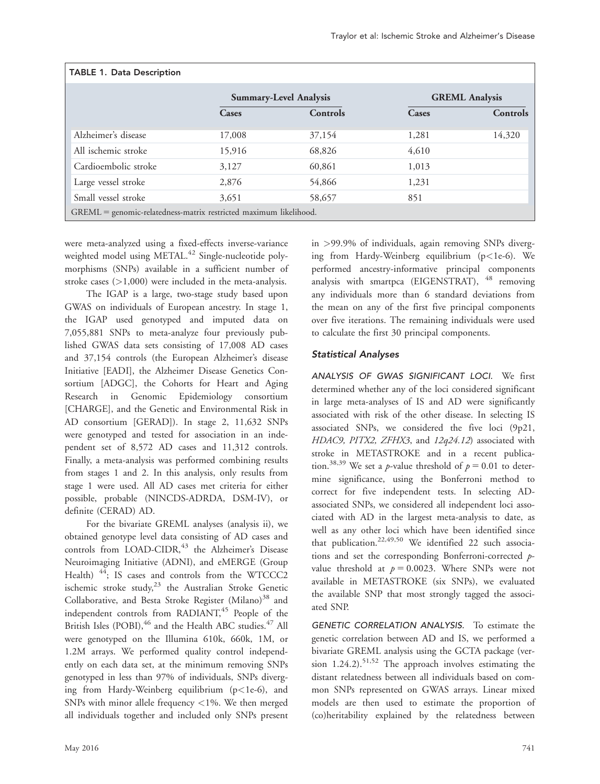| <b>TABLE 1. Data Description</b>                                  |                               |          |                       |                 |  |  |
|-------------------------------------------------------------------|-------------------------------|----------|-----------------------|-----------------|--|--|
|                                                                   | <b>Summary-Level Analysis</b> |          | <b>GREML Analysis</b> |                 |  |  |
|                                                                   | Cases                         | Controls | Cases                 | <b>Controls</b> |  |  |
| Alzheimer's disease                                               | 17,008                        | 37,154   | 1,281                 | 14,320          |  |  |
| All ischemic stroke                                               | 15,916                        | 68,826   | 4,610                 |                 |  |  |
| Cardioembolic stroke                                              | 3,127                         | 60,861   | 1,013                 |                 |  |  |
| Large vessel stroke                                               | 2,876                         | 54,866   | 1,231                 |                 |  |  |
| Small vessel stroke                                               | 3,651                         | 58,657   | 851                   |                 |  |  |
| GREML = genomic-relatedness-matrix restricted maximum likelihood. |                               |          |                       |                 |  |  |

were meta-analyzed using a fixed-effects inverse-variance weighted model using METAL.<sup>42</sup> Single-nucleotide polymorphisms (SNPs) available in a sufficient number of stroke cases  $(>1,000)$  were included in the meta-analysis.

The IGAP is a large, two-stage study based upon GWAS on individuals of European ancestry. In stage 1, the IGAP used genotyped and imputed data on 7,055,881 SNPs to meta-analyze four previously published GWAS data sets consisting of 17,008 AD cases and 37,154 controls (the European Alzheimer's disease Initiative [EADI], the Alzheimer Disease Genetics Consortium [ADGC], the Cohorts for Heart and Aging Research in Genomic Epidemiology consortium [CHARGE], and the Genetic and Environmental Risk in AD consortium [GERAD]). In stage 2, 11,632 SNPs were genotyped and tested for association in an independent set of 8,572 AD cases and 11,312 controls. Finally, a meta-analysis was performed combining results from stages 1 and 2. In this analysis, only results from stage 1 were used. All AD cases met criteria for either possible, probable (NINCDS-ADRDA, DSM-IV), or definite (CERAD) AD.

For the bivariate GREML analyses (analysis ii), we obtained genotype level data consisting of AD cases and controls from LOAD-CIDR,<sup>43</sup> the Alzheimer's Disease Neuroimaging Initiative (ADNI), and eMERGE (Group Health)<sup>44</sup>; IS cases and controls from the WTCCC2 ischemic stroke study, $23$  the Australian Stroke Genetic Collaborative, and Besta Stroke Register (Milano)<sup>38</sup> and independent controls from  $RADIANT<sub>1</sub><sup>45</sup>$  People of the British Isles (POBI),<sup>46</sup> and the Health ABC studies.<sup>47</sup> All were genotyped on the Illumina 610k, 660k, 1M, or 1.2M arrays. We performed quality control independently on each data set, at the minimum removing SNPs genotyped in less than 97% of individuals, SNPs diverging from Hardy-Weinberg equilibrium ( $p$ <1e-6), and SNPs with minor allele frequency  $\langle 1\% \rangle$ . We then merged all individuals together and included only SNPs present

in >99.9% of individuals, again removing SNPs diverging from Hardy-Weinberg equilibrium (p<1e-6). We performed ancestry-informative principal components analysis with smartpca (EIGENSTRAT),  $48$  removing any individuals more than 6 standard deviations from the mean on any of the first five principal components over five iterations. The remaining individuals were used to calculate the first 30 principal components.

# Statistical Analyses

ANALYSIS OF GWAS SIGNIFICANT LOCI. We first determined whether any of the loci considered significant in large meta-analyses of IS and AD were significantly associated with risk of the other disease. In selecting IS associated SNPs, we considered the five loci (9p21, HDAC9, PITX2, ZFHX3, and 12q24.12) associated with stroke in METASTROKE and in a recent publication.<sup>38,39</sup> We set a *p*-value threshold of  $p = 0.01$  to determine significance, using the Bonferroni method to correct for five independent tests. In selecting ADassociated SNPs, we considered all independent loci associated with AD in the largest meta-analysis to date, as well as any other loci which have been identified since that publication.<sup>22,49,50</sup> We identified 22 such associations and set the corresponding Bonferroni-corrected pvalue threshold at  $p = 0.0023$ . Where SNPs were not available in METASTROKE (six SNPs), we evaluated the available SNP that most strongly tagged the associated SNP.

GENETIC CORRELATION ANALYSIS. To estimate the genetic correlation between AD and IS, we performed a bivariate GREML analysis using the GCTA package (version 1.24.2).<sup>51,52</sup> The approach involves estimating the distant relatedness between all individuals based on common SNPs represented on GWAS arrays. Linear mixed models are then used to estimate the proportion of (co)heritability explained by the relatedness between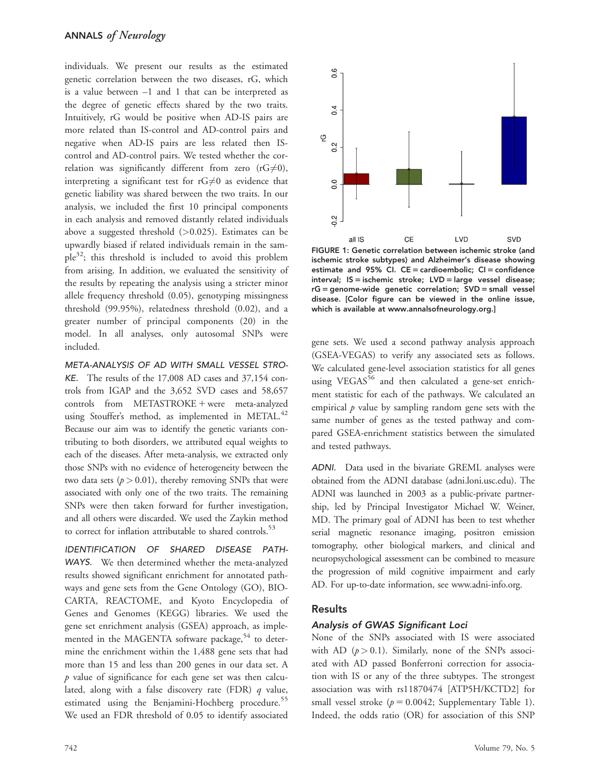individuals. We present our results as the estimated genetic correlation between the two diseases, rG, which is a value between –1 and 1 that can be interpreted as the degree of genetic effects shared by the two traits. Intuitively, rG would be positive when AD-IS pairs are more related than IS-control and AD-control pairs and negative when AD-IS pairs are less related then IScontrol and AD-control pairs. We tested whether the correlation was significantly different from zero ( $rG \neq 0$ ), interpreting a significant test for  $rG\neq0$  as evidence that genetic liability was shared between the two traits. In our analysis, we included the first 10 principal components in each analysis and removed distantly related individuals above a suggested threshold  $(>0.025)$ . Estimates can be upwardly biased if related individuals remain in the sam $ple^{32}$ ; this threshold is included to avoid this problem from arising. In addition, we evaluated the sensitivity of the results by repeating the analysis using a stricter minor allele frequency threshold (0.05), genotyping missingness threshold (99.95%), relatedness threshold (0.02), and a greater number of principal components (20) in the model. In all analyses, only autosomal SNPs were included.

META-ANALYSIS OF AD WITH SMALL VESSEL STRO-KE. The results of the 17,008 AD cases and 37,154 controls from IGAP and the 3,652 SVD cases and 58,657  $controls from METASTROKE + were meta-analyzed$ using Stouffer's method, as implemented in METAL.<sup>42</sup> Because our aim was to identify the genetic variants contributing to both disorders, we attributed equal weights to each of the diseases. After meta-analysis, we extracted only those SNPs with no evidence of heterogeneity between the two data sets ( $p > 0.01$ ), thereby removing SNPs that were associated with only one of the two traits. The remaining SNPs were then taken forward for further investigation, and all others were discarded. We used the Zaykin method to correct for inflation attributable to shared controls.<sup>53</sup>

IDENTIFICATION OF SHARED DISEASE PATH-WAYS. We then determined whether the meta-analyzed results showed significant enrichment for annotated pathways and gene sets from the Gene Ontology (GO), BIO-CARTA, REACTOME, and Kyoto Encyclopedia of Genes and Genomes (KEGG) libraries. We used the gene set enrichment analysis (GSEA) approach, as implemented in the MAGENTA software package,<sup>54</sup> to determine the enrichment within the 1,488 gene sets that had more than 15 and less than 200 genes in our data set. A  $p$  value of significance for each gene set was then calculated, along with a false discovery rate (FDR)  $q$  value, estimated using the Benjamini-Hochberg procedure.<sup>55</sup> We used an FDR threshold of 0.05 to identify associated



FIGURE 1: Genetic correlation between ischemic stroke (and ischemic stroke subtypes) and Alzheimer's disease showing estimate and 95% CI.  $CE =$  cardioembolic;  $CI =$  confidence interval;  $IS =$  ischemic stroke;  $LVD =$  large vessel disease;  $rG =$  genome-wide genetic correlation;  $SVD =$  small vessel disease. [Color figure can be viewed in the online issue, which is available at [www.annalsofneurology.org](http://www.annalsofneurology.org.).]

gene sets. We used a second pathway analysis approach (GSEA-VEGAS) to verify any associated sets as follows. We calculated gene-level association statistics for all genes using VEGAS $56$  and then calculated a gene-set enrichment statistic for each of the pathways. We calculated an empirical  $p$  value by sampling random gene sets with the same number of genes as the tested pathway and compared GSEA-enrichment statistics between the simulated and tested pathways.

ADNI. Data used in the bivariate GREML analyses were obtained from the ADNI database [\(adni.loni.usc.edu\)](http://adni.loni.usc.edu). The ADNI was launched in 2003 as a public-private partnership, led by Principal Investigator Michael W. Weiner, MD. The primary goal of ADNI has been to test whether serial magnetic resonance imaging, positron emission tomography, other biological markers, and clinical and neuropsychological assessment can be combined to measure the progression of mild cognitive impairment and early AD. For up-to-date information, see [www.adni-info.org.](http://www.adni-info.org)

### Results

#### Analysis of GWAS Significant Loci

None of the SNPs associated with IS were associated with AD  $(p > 0.1)$ . Similarly, none of the SNPs associated with AD passed Bonferroni correction for association with IS or any of the three subtypes. The strongest association was with rs11870474 [ATP5H/KCTD2] for small vessel stroke ( $p = 0.0042$ ; Supplementary Table 1). Indeed, the odds ratio (OR) for association of this SNP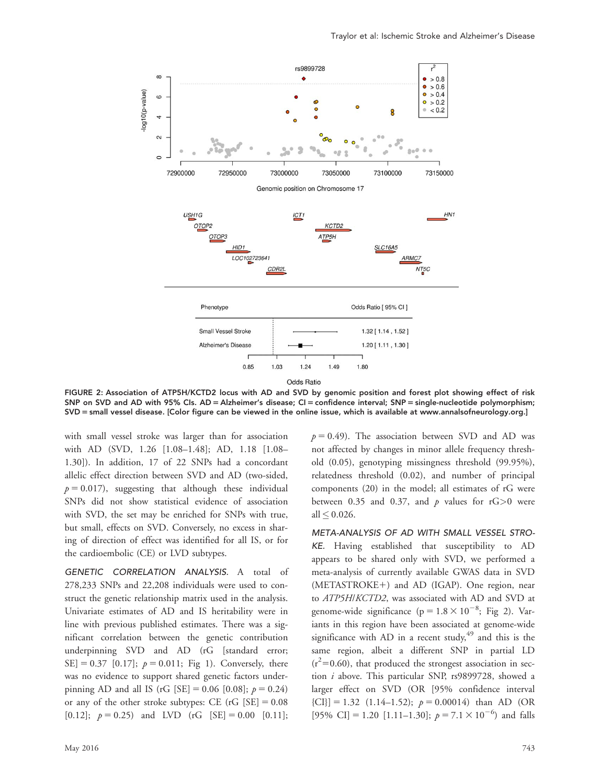

FIGURE 2: Association of ATP5H/KCTD2 locus with AD and SVD by genomic position and forest plot showing effect of risk SNP on SVD and AD with 95% CIs. AD = Alzheimer's disease; CI = confidence interval; SNP = single-nucleotide polymorphism; SVD = small vessel disease. [Color figure can be viewed in the online issue, which is available at [www.annalsofneurology.org](http://www.annalsofneurology.org.).]

with small vessel stroke was larger than for association with AD (SVD, 1.26 [1.08–1.48]; AD, 1.18 [1.08– 1.30]). In addition, 17 of 22 SNPs had a concordant allelic effect direction between SVD and AD (two-sided,  $p = 0.017$ ), suggesting that although these individual SNPs did not show statistical evidence of association with SVD, the set may be enriched for SNPs with true, but small, effects on SVD. Conversely, no excess in sharing of direction of effect was identified for all IS, or for the cardioembolic (CE) or LVD subtypes.

GENETIC CORRELATION ANALYSIS. A total of 278,233 SNPs and 22,208 individuals were used to construct the genetic relationship matrix used in the analysis. Univariate estimates of AD and IS heritability were in line with previous published estimates. There was a significant correlation between the genetic contribution underpinning SVD and AD (rG [standard error; SE] = 0.37 [0.17];  $p = 0.011$ ; Fig 1). Conversely, there was no evidence to support shared genetic factors underpinning AD and all IS (rG [SE] = 0.06 [0.08];  $p = 0.24$ ) or any of the other stroke subtypes: CE  $(rG$  [SE] = 0.08 [0.12];  $p = 0.25$ ) and LVD (rG [SE] = 0.00 [0.11];

May 2016 743

 $p = 0.49$ ). The association between SVD and AD was not affected by changes in minor allele frequency threshold (0.05), genotyping missingness threshold (99.95%), relatedness threshold (0.02), and number of principal components (20) in the model; all estimates of rG were between 0.35 and 0.37, and  $p$  values for rG $>0$  were all  $\leq 0.026$ .

META-ANALYSIS OF AD WITH SMALL VESSEL STRO-KE. Having established that susceptibility to AD appears to be shared only with SVD, we performed a meta-analysis of currently available GWAS data in SVD  $(METASTROKE+)$  and AD  $(IGAP)$ . One region, near to ATP5H/KCTD2, was associated with AD and SVD at genome-wide significance ( $p = 1.8 \times 10^{-8}$ ; Fig 2). Variants in this region have been associated at genome-wide significance with AD in a recent study,  $49$  and this is the same region, albeit a different SNP in partial LD  $(r^2=0.60)$ , that produced the strongest association in section i above. This particular SNP, rs9899728, showed a larger effect on SVD (OR [95% confidence interval  ${[CI]} = 1.32$   $(1.14-1.52); p = 0.00014$  than AD (OR [95% CI] = 1.20 [1.11–1.30];  $p = 7.1 \times 10^{-6}$  and falls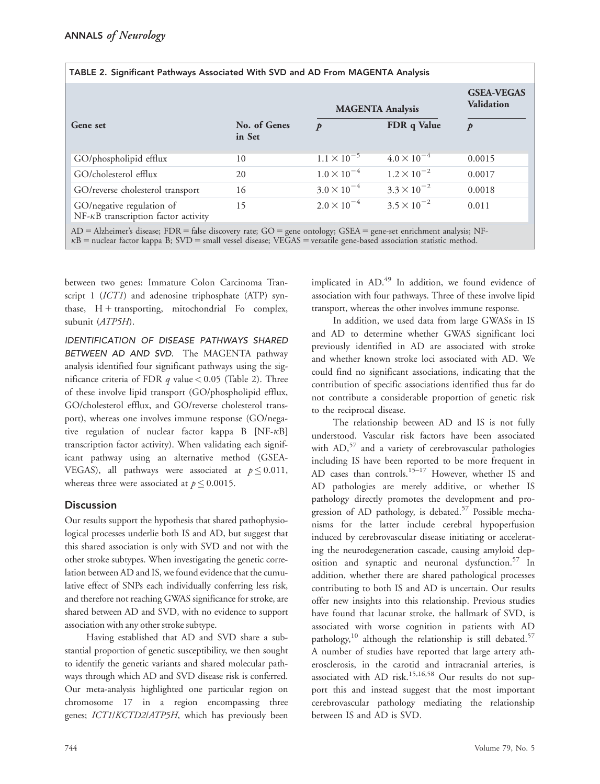|                                                                          |                        | <b>MAGENTA Analysis</b> |                      | <b>GSEA-VEGAS</b><br><b>Validation</b> |
|--------------------------------------------------------------------------|------------------------|-------------------------|----------------------|----------------------------------------|
| Gene set                                                                 | No. of Genes<br>in Set | p                       | FDR q Value          | p                                      |
| GO/phospholipid efflux                                                   | 10                     | $1.1 \times 10^{-5}$    | $4.0 \times 10^{-4}$ | 0.0015                                 |
| GO/cholesterol efflux                                                    | 20                     | $1.0 \times 10^{-4}$    | $1.2 \times 10^{-2}$ | 0.0017                                 |
| GO/reverse cholesterol transport                                         | 16                     | $3.0 \times 10^{-4}$    | $3.3 \times 10^{-2}$ | 0.0018                                 |
| GO/negative regulation of<br>$NF-\kappa B$ transcription factor activity | 15                     | $2.0 \times 10^{-4}$    | $3.5 \times 10^{-2}$ | 0.011                                  |
|                                                                          |                        |                         |                      |                                        |

AD = Alzheimer's disease; FDR = false discovery rate; GO = gene ontology; GSEA = gene-set enrichment analysis; NF $k =$  nuclear factor kappa B; SVD = small vessel disease; VEGAS = versatile gene-based association statistic method.

TABLE 2. Significant Pathways Associated With SVD and AD From MAGENTA Analysis

between two genes: Immature Colon Carcinoma Transcript 1 (ICT1) and adenosine triphosphate (ATP) synthase,  $H +$  transporting, mitochondrial Fo complex, subunit (ATP5H).

IDENTIFICATION OF DISEASE PATHWAYS SHARED BETWEEN AD AND SVD. The MAGENTA pathway analysis identified four significant pathways using the significance criteria of FDR  $q$  value < 0.05 (Table 2). Three of these involve lipid transport (GO/phospholipid efflux, GO/cholesterol efflux, and GO/reverse cholesterol transport), whereas one involves immune response (GO/negative regulation of nuclear factor kappa  $B$  [NF- $\kappa$ B] transcription factor activity). When validating each significant pathway using an alternative method (GSEA-VEGAS), all pathways were associated at  $p \leq 0.011$ , whereas three were associated at  $p \leq 0.0015.$ 

## **Discussion**

Our results support the hypothesis that shared pathophysiological processes underlie both IS and AD, but suggest that this shared association is only with SVD and not with the other stroke subtypes. When investigating the genetic correlation between AD and IS, we found evidence that the cumulative effect of SNPs each individually conferring less risk, and therefore not reaching GWAS significance for stroke, are shared between AD and SVD, with no evidence to support association with any other stroke subtype.

Having established that AD and SVD share a substantial proportion of genetic susceptibility, we then sought to identify the genetic variants and shared molecular pathways through which AD and SVD disease risk is conferred. Our meta-analysis highlighted one particular region on chromosome 17 in a region encompassing three genes; ICT1/KCTD2/ATP5H, which has previously been

implicated in AD.<sup>49</sup> In addition, we found evidence of association with four pathways. Three of these involve lipid transport, whereas the other involves immune response.

In addition, we used data from large GWASs in IS and AD to determine whether GWAS significant loci previously identified in AD are associated with stroke and whether known stroke loci associated with AD. We could find no significant associations, indicating that the contribution of specific associations identified thus far do not contribute a considerable proportion of genetic risk to the reciprocal disease.

The relationship between AD and IS is not fully understood. Vascular risk factors have been associated with  $AD<sub>1</sub><sup>57</sup>$  and a variety of cerebrovascular pathologies including IS have been reported to be more frequent in AD cases than controls.<sup>15–17</sup> However, whether IS and AD pathologies are merely additive, or whether IS pathology directly promotes the development and progression of AD pathology, is debated.<sup>57</sup> Possible mechanisms for the latter include cerebral hypoperfusion induced by cerebrovascular disease initiating or accelerating the neurodegeneration cascade, causing amyloid deposition and synaptic and neuronal dysfunction.<sup>57</sup> In addition, whether there are shared pathological processes contributing to both IS and AD is uncertain. Our results offer new insights into this relationship. Previous studies have found that lacunar stroke, the hallmark of SVD, is associated with worse cognition in patients with AD pathology,<sup>10</sup> although the relationship is still debated.<sup>57</sup> A number of studies have reported that large artery atherosclerosis, in the carotid and intracranial arteries, is associated with AD risk.<sup>15,16,58</sup> Our results do not support this and instead suggest that the most important cerebrovascular pathology mediating the relationship between IS and AD is SVD.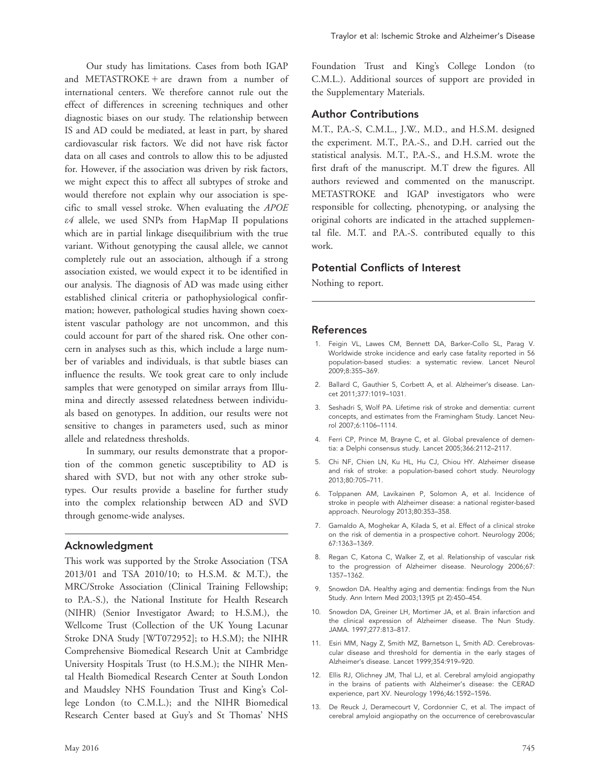Our study has limitations. Cases from both IGAP and METASTROKE + are drawn from a number of international centers. We therefore cannot rule out the effect of differences in screening techniques and other diagnostic biases on our study. The relationship between IS and AD could be mediated, at least in part, by shared cardiovascular risk factors. We did not have risk factor data on all cases and controls to allow this to be adjusted for. However, if the association was driven by risk factors, we might expect this to affect all subtypes of stroke and would therefore not explain why our association is specific to small vessel stroke. When evaluating the APOE e4 allele, we used SNPs from HapMap II populations which are in partial linkage disequilibrium with the true variant. Without genotyping the causal allele, we cannot completely rule out an association, although if a strong association existed, we would expect it to be identified in our analysis. The diagnosis of AD was made using either established clinical criteria or pathophysiological confirmation; however, pathological studies having shown coexistent vascular pathology are not uncommon, and this could account for part of the shared risk. One other concern in analyses such as this, which include a large number of variables and individuals, is that subtle biases can influence the results. We took great care to only include samples that were genotyped on similar arrays from Illumina and directly assessed relatedness between individuals based on genotypes. In addition, our results were not sensitive to changes in parameters used, such as minor allele and relatedness thresholds.

In summary, our results demonstrate that a proportion of the common genetic susceptibility to AD is shared with SVD, but not with any other stroke subtypes. Our results provide a baseline for further study into the complex relationship between AD and SVD through genome-wide analyses.

### Acknowledgment

This work was supported by the Stroke Association (TSA 2013/01 and TSA 2010/10; to H.S.M. & M.T.), the MRC/Stroke Association (Clinical Training Fellowship; to P.A.-S.), the National Institute for Health Research (NIHR) (Senior Investigator Award; to H.S.M.), the Wellcome Trust (Collection of the UK Young Lacunar Stroke DNA Study [WT072952]; to H.S.M); the NIHR Comprehensive Biomedical Research Unit at Cambridge University Hospitals Trust (to H.S.M.); the NIHR Mental Health Biomedical Research Center at South London and Maudsley NHS Foundation Trust and King's College London (to C.M.L.); and the NIHR Biomedical Research Center based at Guy's and St Thomas' NHS

Foundation Trust and King's College London (to C.M.L.). Additional sources of support are provided in the Supplementary Materials.

#### Author Contributions

M.T., P.A.-S, C.M.L., J.W., M.D., and H.S.M. designed the experiment. M.T., P.A.-S., and D.H. carried out the statistical analysis. M.T., P.A.-S., and H.S.M. wrote the first draft of the manuscript. M.T drew the figures. All authors reviewed and commented on the manuscript. METASTROKE and IGAP investigators who were responsible for collecting, phenotyping, or analysing the original cohorts are indicated in the attached supplemental file. M.T. and P.A.-S. contributed equally to this work.

## Potential Conflicts of Interest

Nothing to report.

#### References

- 1. Feigin VL, Lawes CM, Bennett DA, Barker-Collo SL, Parag V. Worldwide stroke incidence and early case fatality reported in 56 population-based studies: a systematic review. Lancet Neurol 2009;8:355–369.
- 2. Ballard C, Gauthier S, Corbett A, et al. Alzheimer's disease. Lancet 2011;377:1019–1031.
- 3. Seshadri S, Wolf PA. Lifetime risk of stroke and dementia: current concepts, and estimates from the Framingham Study. Lancet Neurol 2007;6:1106–1114.
- 4. Ferri CP, Prince M, Brayne C, et al. Global prevalence of dementia: a Delphi consensus study. Lancet 2005;366:2112–2117.
- 5. Chi NF, Chien LN, Ku HL, Hu CJ, Chiou HY. Alzheimer disease and risk of stroke: a population-based cohort study. Neurology 2013;80:705–711.
- 6. Tolppanen AM, Lavikainen P, Solomon A, et al. Incidence of stroke in people with Alzheimer disease: a national register-based approach. Neurology 2013;80:353–358.
- 7. Gamaldo A, Moghekar A, Kilada S, et al. Effect of a clinical stroke on the risk of dementia in a prospective cohort. Neurology 2006; 67:1363–1369.
- 8. Regan C, Katona C, Walker Z, et al. Relationship of vascular risk to the progression of Alzheimer disease. Neurology 2006;67: 1357–1362.
- 9. Snowdon DA. Healthy aging and dementia: findings from the Nun Study. Ann Intern Med 2003;139(5 pt 2):450–454.
- 10. Snowdon DA, Greiner LH, Mortimer JA, et al. Brain infarction and the clinical expression of Alzheimer disease. The Nun Study. JAMA. 1997;277:813–817.
- 11. Esiri MM, Nagy Z, Smith MZ, Barnetson L, Smith AD. Cerebrovascular disease and threshold for dementia in the early stages of Alzheimer's disease. Lancet 1999;354:919–920.
- 12. Ellis RJ, Olichney JM, Thal LJ, et al. Cerebral amyloid angiopathy in the brains of patients with Alzheimer's disease: the CERAD experience, part XV. Neurology 1996;46:1592–1596.
- 13. De Reuck J, Deramecourt V, Cordonnier C, et al. The impact of cerebral amyloid angiopathy on the occurrence of cerebrovascular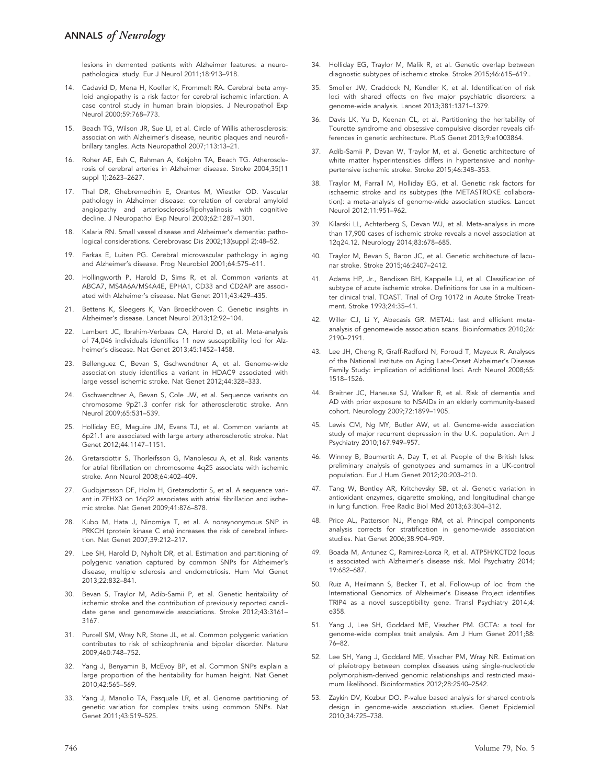lesions in demented patients with Alzheimer features: a neuropathological study. Eur J Neurol 2011;18:913–918.

- 14. Cadavid D, Mena H, Koeller K, Frommelt RA. Cerebral beta amyloid angiopathy is a risk factor for cerebral ischemic infarction. A case control study in human brain biopsies. J Neuropathol Exp Neurol 2000;59:768–773.
- 15. Beach TG, Wilson JR, Sue LI, et al. Circle of Willis atherosclerosis: association with Alzheimer's disease, neuritic plaques and neurofibrillary tangles. Acta Neuropathol 2007;113:13–21.
- 16. Roher AE, Esh C, Rahman A, Kokjohn TA, Beach TG. Atherosclerosis of cerebral arteries in Alzheimer disease. Stroke 2004;35(11 suppl 1):2623–2627.
- 17. Thal DR, Ghebremedhin E, Orantes M, Wiestler OD. Vascular pathology in Alzheimer disease: correlation of cerebral amyloid angiopathy and arteriosclerosis/lipohyalinosis with cognitive decline. J Neuropathol Exp Neurol 2003;62:1287–1301.
- 18. Kalaria RN. Small vessel disease and Alzheimer's dementia: pathological considerations. Cerebrovasc Dis 2002;13(suppl 2):48–52.
- 19. Farkas E, Luiten PG. Cerebral microvascular pathology in aging and Alzheimer's disease. Prog Neurobiol 2001;64:575–611.
- 20. Hollingworth P, Harold D, Sims R, et al. Common variants at ABCA7, MS4A6A/MS4A4E, EPHA1, CD33 and CD2AP are associated with Alzheimer's disease. Nat Genet 2011;43:429–435.
- 21. Bettens K, Sleegers K, Van Broeckhoven C. Genetic insights in Alzheimer's disease. Lancet Neurol 2013;12:92–104.
- 22. Lambert JC, Ibrahim-Verbaas CA, Harold D, et al. Meta-analysis of 74,046 individuals identifies 11 new susceptibility loci for Alzheimer's disease. Nat Genet 2013;45:1452–1458.
- 23. Bellenguez C, Bevan S, Gschwendtner A, et al. Genome-wide association study identifies a variant in HDAC9 associated with large vessel ischemic stroke. Nat Genet 2012;44:328–333.
- 24. Gschwendtner A, Bevan S, Cole JW, et al. Sequence variants on chromosome 9p21.3 confer risk for atherosclerotic stroke. Ann Neurol 2009;65:531–539.
- 25. Holliday EG, Maguire JM, Evans TJ, et al. Common variants at 6p21.1 are associated with large artery atherosclerotic stroke. Nat Genet 2012;44:1147–1151.
- 26. Gretarsdottir S, Thorleifsson G, Manolescu A, et al. Risk variants for atrial fibrillation on chromosome 4q25 associate with ischemic stroke. Ann Neurol 2008;64:402–409.
- 27. Gudbjartsson DF, Holm H, Gretarsdottir S, et al. A sequence variant in ZFHX3 on 16q22 associates with atrial fibrillation and ischemic stroke. Nat Genet 2009;41:876–878.
- 28. Kubo M, Hata J, Ninomiya T, et al. A nonsynonymous SNP in PRKCH (protein kinase C eta) increases the risk of cerebral infarction. Nat Genet 2007;39:212–217.
- 29. Lee SH, Harold D, Nyholt DR, et al. Estimation and partitioning of polygenic variation captured by common SNPs for Alzheimer's disease, multiple sclerosis and endometriosis. Hum Mol Genet 2013;22:832–841.
- 30. Bevan S, Traylor M, Adib-Samii P, et al. Genetic heritability of ischemic stroke and the contribution of previously reported candidate gene and genomewide associations. Stroke 2012;43:3161– 3167.
- 31. Purcell SM, Wray NR, Stone JL, et al. Common polygenic variation contributes to risk of schizophrenia and bipolar disorder. Nature 2009;460:748–752.
- 32. Yang J, Benyamin B, McEvoy BP, et al. Common SNPs explain a large proportion of the heritability for human height. Nat Genet 2010;42:565–569.
- 33. Yang J, Manolio TA, Pasquale LR, et al. Genome partitioning of genetic variation for complex traits using common SNPs. Nat Genet 2011;43:519–525.
- 34. Holliday EG, Traylor M, Malik R, et al. Genetic overlap between diagnostic subtypes of ischemic stroke. Stroke 2015;46:615–619..
- 35. Smoller JW, Craddock N, Kendler K, et al. Identification of risk loci with shared effects on five major psychiatric disorders: a genome-wide analysis. Lancet 2013;381:1371–1379.
- 36. Davis LK, Yu D, Keenan CL, et al. Partitioning the heritability of Tourette syndrome and obsessive compulsive disorder reveals differences in genetic architecture. PLoS Genet 2013;9:e1003864.
- 37. Adib-Samii P, Devan W, Traylor M, et al. Genetic architecture of white matter hyperintensities differs in hypertensive and nonhypertensive ischemic stroke. Stroke 2015;46:348–353.
- 38. Traylor M, Farrall M, Holliday EG, et al. Genetic risk factors for ischaemic stroke and its subtypes (the METASTROKE collaboration): a meta-analysis of genome-wide association studies. Lancet Neurol 2012;11:951–962.
- Kilarski LL, Achterberg S, Devan WJ, et al. Meta-analysis in more than 17,900 cases of ischemic stroke reveals a novel association at 12q24.12. Neurology 2014;83:678–685.
- 40. Traylor M, Bevan S, Baron JC, et al. Genetic architecture of lacunar stroke. Stroke 2015;46:2407–2412.
- 41. Adams HP, Jr., Bendixen BH, Kappelle LJ, et al. Classification of subtype of acute ischemic stroke. Definitions for use in a multicenter clinical trial. TOAST. Trial of Org 10172 in Acute Stroke Treatment. Stroke 1993;24:35–41.
- 42. Willer CJ, Li Y, Abecasis GR. METAL: fast and efficient metaanalysis of genomewide association scans. Bioinformatics 2010;26: 2190–2191.
- 43. Lee JH, Cheng R, Graff-Radford N, Foroud T, Mayeux R. Analyses of the National Institute on Aging Late-Onset Alzheimer's Disease Family Study: implication of additional loci. Arch Neurol 2008;65: 1518–1526.
- 44. Breitner JC, Haneuse SJ, Walker R, et al. Risk of dementia and AD with prior exposure to NSAIDs in an elderly community-based cohort. Neurology 2009;72:1899–1905.
- 45. Lewis CM, Ng MY, Butler AW, et al. Genome-wide association study of major recurrent depression in the U.K. population. Am J Psychiatry 2010;167:949–957.
- 46. Winney B, Boumertit A, Day T, et al. People of the British Isles: preliminary analysis of genotypes and surnames in a UK-control population. Eur J Hum Genet 2012;20:203–210.
- 47. Tang W, Bentley AR, Kritchevsky SB, et al. Genetic variation in antioxidant enzymes, cigarette smoking, and longitudinal change in lung function. Free Radic Biol Med 2013;63:304–312.
- 48. Price AL, Patterson NJ, Plenge RM, et al. Principal components analysis corrects for stratification in genome-wide association studies. Nat Genet 2006;38:904–909.
- 49. Boada M, Antunez C, Ramirez-Lorca R, et al. ATP5H/KCTD2 locus is associated with Alzheimer's disease risk. Mol Psychiatry 2014; 19:682–687.
- 50. Ruiz A, Heilmann S, Becker T, et al. Follow-up of loci from the International Genomics of Alzheimer's Disease Project identifies TRIP4 as a novel susceptibility gene. Transl Psychiatry 2014;4: e358.
- 51. Yang J, Lee SH, Goddard ME, Visscher PM. GCTA: a tool for genome-wide complex trait analysis. Am J Hum Genet 2011;88: 76–82.
- 52. Lee SH, Yang J, Goddard ME, Visscher PM, Wray NR. Estimation of pleiotropy between complex diseases using single-nucleotide polymorphism-derived genomic relationships and restricted maximum likelihood. Bioinformatics 2012;28:2540–2542.
- 53. Zaykin DV, Kozbur DO. P-value based analysis for shared controls design in genome-wide association studies. Genet Epidemiol 2010;34:725–738.